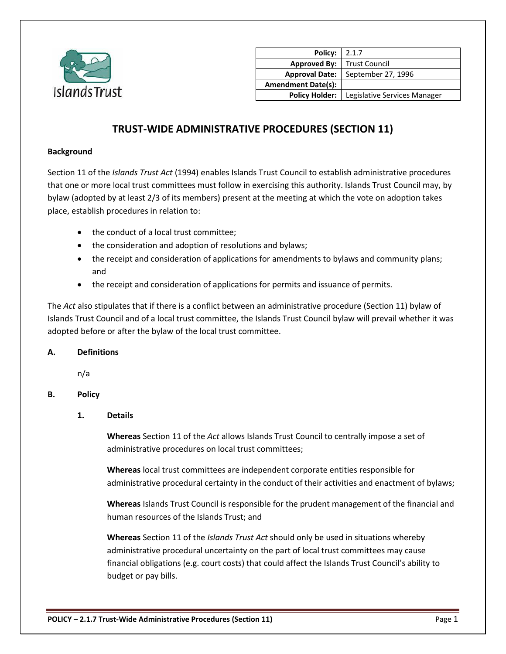

| Policy:                   | 2.1.7                        |
|---------------------------|------------------------------|
| <b>Approved By:</b>       | <b>Trust Council</b>         |
| <b>Approval Date:</b>     | September 27, 1996           |
| <b>Amendment Date(s):</b> |                              |
| <b>Policy Holder:</b>     | Legislative Services Manager |

# **TRUST-WIDE ADMINISTRATIVE PROCEDURES (SECTION 11)**

#### **Background**

Section 11 of the *Islands Trust Act* (1994) enables Islands Trust Council to establish administrative procedures that one or more local trust committees must follow in exercising this authority. Islands Trust Council may, by bylaw (adopted by at least 2/3 of its members) present at the meeting at which the vote on adoption takes place, establish procedures in relation to:

- the conduct of a local trust committee;
- the consideration and adoption of resolutions and bylaws;
- the receipt and consideration of applications for amendments to bylaws and community plans; and
- the receipt and consideration of applications for permits and issuance of permits.

The *Act* also stipulates that if there is a conflict between an administrative procedure (Section 11) bylaw of Islands Trust Council and of a local trust committee, the Islands Trust Council bylaw will prevail whether it was adopted before or after the bylaw of the local trust committee.

#### **A. Definitions**

n/a

#### **B. Policy**

#### **1. Details**

**Whereas** Section 11 of the *Act* allows Islands Trust Council to centrally impose a set of administrative procedures on local trust committees;

**Whereas** local trust committees are independent corporate entities responsible for administrative procedural certainty in the conduct of their activities and enactment of bylaws;

**Whereas** Islands Trust Council is responsible for the prudent management of the financial and human resources of the Islands Trust; and

**Whereas** Section 11 of the *Islands Trust Act* should only be used in situations whereby administrative procedural uncertainty on the part of local trust committees may cause financial obligations (e.g. court costs) that could affect the Islands Trust Council's ability to budget or pay bills.